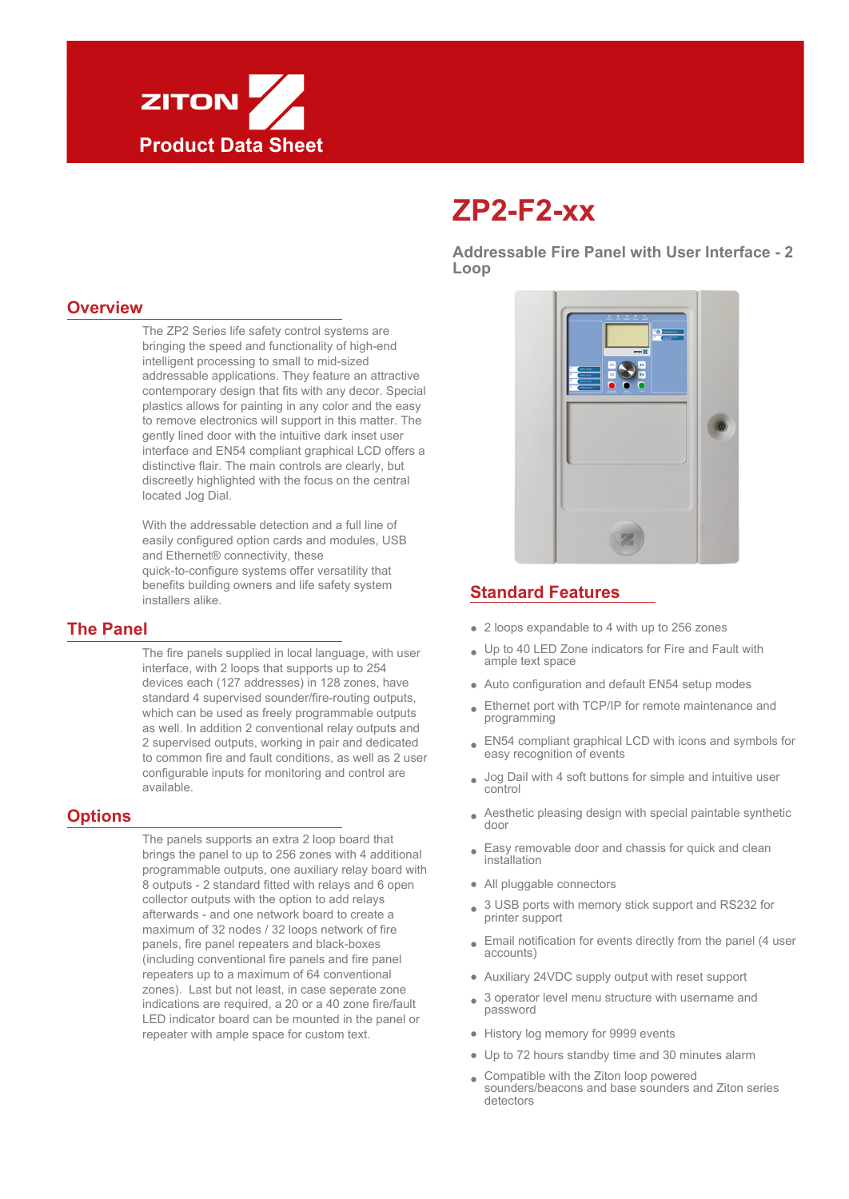

# **ZP2-F2-xx**

**Addressable Fire Panel with User Interface - 2 Loop**

#### **Overview**

The ZP2 Series life safety control systems are bringing the speed and functionality of high-end intelligent processing to small to mid-sized addressable applications. They feature an attractive contemporary design that fits with any decor. Special plastics allows for painting in any color and the easy to remove electronics will support in this matter. The gently lined door with the intuitive dark inset user interface and EN54 compliant graphical LCD offers a distinctive flair. The main controls are clearly, but discreetly highlighted with the focus on the central located Jog Dial.

With the addressable detection and a full line of easily configured option cards and modules, USB and Ethernet® connectivity, these quick-to-configure systems offer versatility that benefits building owners and life safety system installers alike.

#### **The Panel**

The fire panels supplied in local language, with user interface, with 2 loops that supports up to 254 devices each (127 addresses) in 128 zones, have standard 4 supervised sounder/fire-routing outputs, which can be used as freely programmable outputs as well. In addition 2 conventional relay outputs and 2 supervised outputs, working in pair and dedicated to common fire and fault conditions, as well as 2 user configurable inputs for monitoring and control are available.

#### **Options**

The panels supports an extra 2 loop board that brings the panel to up to 256 zones with 4 additional programmable outputs, one auxiliary relay board with 8 outputs - 2 standard fitted with relays and 6 open collector outputs with the option to add relays afterwards - and one network board to create a maximum of 32 nodes / 32 loops network of fire panels, fire panel repeaters and black-boxes (including conventional fire panels and fire panel repeaters up to a maximum of 64 conventional zones). Last but not least, in case seperate zone indications are required, a 20 or a 40 zone fire/fault LED indicator board can be mounted in the panel or repeater with ample space for custom text.



#### **Standard Features**

- 2 loops expandable to 4 with up to 256 zones
- Up to 40 LED Zone indicators for Fire and Fault with ample text space E
- Auto configuration and default EN54 setup modes
- Ethernet port with TCP/IP for remote maintenance and programming  $\bullet$
- EN54 compliant graphical LCD with icons and symbols for Eeasy recognition of events
- Jog Dail with 4 soft buttons for simple and intuitive user control E
- Aesthetic pleasing design with special paintable synthetic door  $\bullet$
- Easy removable door and chassis for quick and clean installation E
- All pluggable connectors
- 3 USB ports with memory stick support and RS232 for printer support  $\bullet$
- Email notification for events directly from the panel (4 user accounts)  $\bullet$
- Auxiliary 24VDC supply output with reset support
- 3 operator level menu structure with username and password  $\blacksquare$
- History log memory for 9999 events
- Up to 72 hours standby time and 30 minutes alarm
- Compatible with the Ziton loop powered sounders/beacons and base sounders and Ziton series detectors E